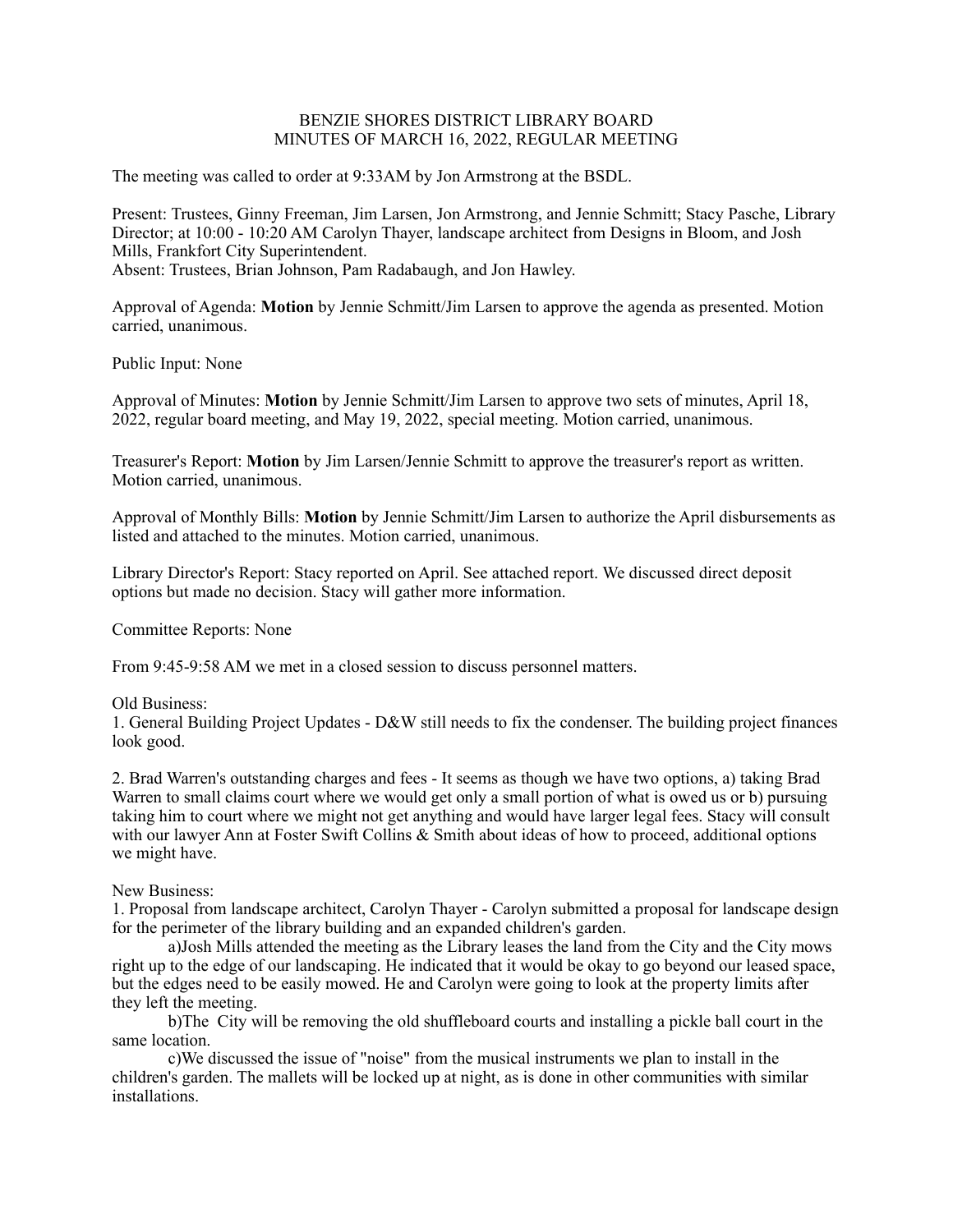## BENZIE SHORES DISTRICT LIBRARY BOARD MINUTES OF MARCH 16, 2022, REGULAR MEETING

The meeting was called to order at 9:33AM by Jon Armstrong at the BSDL.

Present: Trustees, Ginny Freeman, Jim Larsen, Jon Armstrong, and Jennie Schmitt; Stacy Pasche, Library Director; at 10:00 - 10:20 AM Carolyn Thayer, landscape architect from Designs in Bloom, and Josh Mills, Frankfort City Superintendent. Absent: Trustees, Brian Johnson, Pam Radabaugh, and Jon Hawley.

Approval of Agenda: **Motion** by Jennie Schmitt/Jim Larsen to approve the agenda as presented. Motion carried, unanimous.

Public Input: None

Approval of Minutes: **Motion** by Jennie Schmitt/Jim Larsen to approve two sets of minutes, April 18, 2022, regular board meeting, and May 19, 2022, special meeting. Motion carried, unanimous.

Treasurer's Report: **Motion** by Jim Larsen/Jennie Schmitt to approve the treasurer's report as written. Motion carried, unanimous.

Approval of Monthly Bills: **Motion** by Jennie Schmitt/Jim Larsen to authorize the April disbursements as listed and attached to the minutes. Motion carried, unanimous.

Library Director's Report: Stacy reported on April. See attached report. We discussed direct deposit options but made no decision. Stacy will gather more information.

Committee Reports: None

From 9:45-9:58 AM we met in a closed session to discuss personnel matters.

Old Business:

1. General Building Project Updates - D&W still needs to fix the condenser. The building project finances look good.

2. Brad Warren's outstanding charges and fees - It seems as though we have two options, a) taking Brad Warren to small claims court where we would get only a small portion of what is owed us or b) pursuing taking him to court where we might not get anything and would have larger legal fees. Stacy will consult with our lawyer Ann at Foster Swift Collins & Smith about ideas of how to proceed, additional options we might have.

New Business:

1. Proposal from landscape architect, Carolyn Thayer - Carolyn submitted a proposal for landscape design for the perimeter of the library building and an expanded children's garden.

 a)Josh Mills attended the meeting as the Library leases the land from the City and the City mows right up to the edge of our landscaping. He indicated that it would be okay to go beyond our leased space, but the edges need to be easily mowed. He and Carolyn were going to look at the property limits after they left the meeting.

 b)The City will be removing the old shuffleboard courts and installing a pickle ball court in the same location.

 c)We discussed the issue of "noise" from the musical instruments we plan to install in the children's garden. The mallets will be locked up at night, as is done in other communities with similar installations.